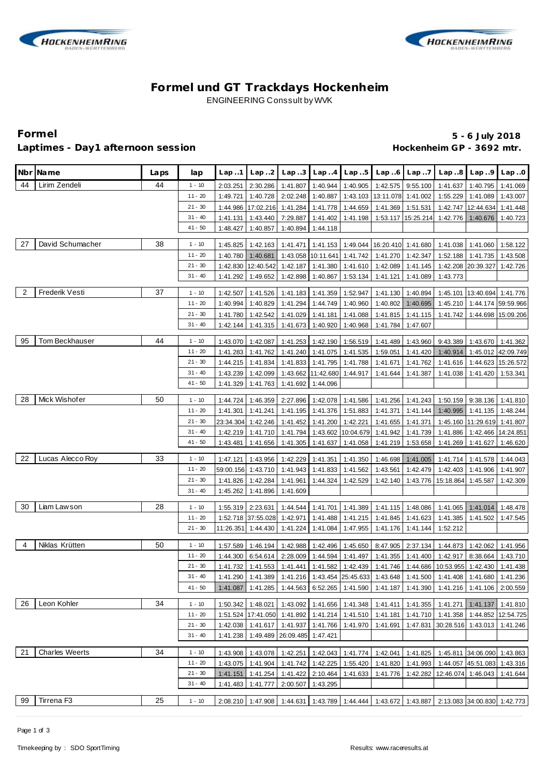



## **Formel und GT Trackdays Hockenheim** ENGINEERING Conssult by WVK

#### Laptimes - Day1 afternoon session **Manual Acceleration and Hockenheim GP** - 3692 mtr.

# **Formel 5 - 6 July 2018**

|                | Nbr Name              | Laps | lap       | Lap.1                | Lap.2                |                      |                             |                      | Lap3 $\lfloor$ Lap4 $\lfloor$ Lap5 $\lfloor$ Lap6 $\lfloor$ Lap7                           |                               |                                            | $Lap.8$ $Lap.9$                 | Lap.0                |
|----------------|-----------------------|------|-----------|----------------------|----------------------|----------------------|-----------------------------|----------------------|--------------------------------------------------------------------------------------------|-------------------------------|--------------------------------------------|---------------------------------|----------------------|
| 44             | Lirim Zendeli         | 44   | $1 - 10$  | 2:03.251             | 2:30.286             | 1:41.807             | 1:40.944                    |                      | 1:40.905 1:42.575 9:55.100                                                                 |                               | 1:41.637                                   | 1:40.795                        | 1:41.069             |
|                |                       |      | $11 - 20$ | 1:49.721             | 1:40.728             | 2:02.248             | 1:40.887                    |                      | 1:43.103 13:11.078 1:41.002                                                                |                               |                                            | 1:55.229 1:41.089               | 1:43.007             |
|                |                       |      | $21 - 30$ | 1:44.986             | 17:02.216 1:41.284   |                      | 1:41.778                    | 1:44.659             | $1:41.369$ 1:51.531                                                                        |                               |                                            | 1:42.747 12:44.634              | 1:41.448             |
|                |                       |      | $31 - 40$ | 1:41.131             | 1:43.440             | 7:29.887             | 1:41.402                    | 1:41.198             |                                                                                            |                               | 1:53.117   15:25.214   1:42.776   1:40.676 |                                 | 1:40.723             |
|                |                       |      | $41 - 50$ | 1:48.427             | 1:40.857             | 1:40.894             | 1:44.118                    |                      |                                                                                            |                               |                                            |                                 |                      |
| 27             | David Schumacher      | 38   | $1 - 10$  | 1:45.825             | 1:42.163             | 1:41.471             | 1:41.153                    | 1:49.044             | 16:20.410 1:41.680                                                                         |                               | 1:41.038                                   | 1:41.060                        | 1:58.122             |
|                |                       |      | $11 - 20$ | 1:40.780             | 1:40.681             | 1:43.058             | 10:11.641                   | 1:41.742             | 1:41.270                                                                                   | 1:42.347                      | 1:52.188                                   | 1:41.735                        | 1:43.508             |
|                |                       |      | $21 - 30$ | 1:42.830             | 12:40.542            | 1:42.187             | 1:41.380                    | 1:41.610             | 1:42.089                                                                                   | 1:41.145                      | 1:42.208                                   | 20:39.327                       | 1:42.726             |
|                |                       |      | $31 - 40$ | 1:41.292             | 1:49.652             | 1:42.898             | 1:40.867                    | 1:53.134             | 1:41.121                                                                                   | 1:41.089                      | 1:43.773                                   |                                 |                      |
| $\overline{2}$ | Frederik Vesti        | 37   | $1 - 10$  |                      |                      | 1:41.183             | 1:41.359                    | 1:52.947             |                                                                                            |                               |                                            |                                 |                      |
|                |                       |      | $11 - 20$ | 1:42.507<br>1:40.994 | 1:41.526<br>1:40.829 |                      | 1:44.749                    |                      | 1:41.130                                                                                   | 1:40.894                      |                                            | 1:45.101   13:40.694   1:41.776 |                      |
|                |                       |      | $21 - 30$ |                      |                      | 1:41.294             |                             | 1:40.960             | 1:40.802                                                                                   | 1:40.695                      | 1:45.210                                   |                                 | 1:44.174 59:59.966   |
|                |                       |      | $31 - 40$ | 1:41.780             | 1:42.542             | 1:41.029             | 1:41.181                    | 1:41.088             |                                                                                            |                               | 1:41.815   1:41.115   1:41.742             |                                 | 1:44.698 15:09.206   |
|                |                       |      |           | 1:42.144             | 1:41.315             | 1:41.673             | 1:40.920                    | 1:40.968             | 1:41.784                                                                                   | 1:47.607                      |                                            |                                 |                      |
| 95             | Tom Beckhauser        | 44   | $1 - 10$  | 1:43.070             | 1:42.087             | 1:41.253             | 1:42.190                    | 1:56.519             | 1:41.489                                                                                   | 1:43.960                      | 9:43.389                                   | 1:43.670                        | 1:41.362             |
|                |                       |      | $11 - 20$ | 1:41.283             | 1:41.762             | 1:41.240             | 1:41.075                    | 1:41.535             | 1:59.051                                                                                   | 1:41.420                      | 1:40.914                                   |                                 | 1:45.012 42:09.749   |
|                |                       |      | $21 - 30$ | 1:44.215             | 1:41.834             | 1:41.833             | 1:41.795                    | 1:41.788             | 1:41.671                                                                                   | 1:41.762                      | 1:41.616                                   |                                 | 1:44.623 15:26.572   |
|                |                       |      | $31 - 40$ | 1:43.239             | 1:42.099             |                      | 1:43.662 11:42.680 1:44.917 |                      | 1:41.644                                                                                   | 1:41.387                      | 1:41.038                                   | 1:41.420                        | 1:53.341             |
|                |                       |      | $41 - 50$ | 1:41.329             | 1:41.763             | 1:41.692             | 1:44.096                    |                      |                                                                                            |                               |                                            |                                 |                      |
| 28             | Mick Wishofer         | 50   | $1 - 10$  | 1:44.724             | 1:46.359             | 2:27.896             | 1:42.078                    | 1:41.586             |                                                                                            | 1:41.256 1:41.243             |                                            | 1:50.159 9:38.136 1:41.810      |                      |
|                |                       |      | $11 - 20$ | 1:41.301             | 1:41.241             | 1:41.195             | 1:41.376                    | 1:51.883             | 1:41.371                                                                                   | 1:41.144                      | 1:40.995                                   | 1:41.135                        | 1:48.244             |
|                |                       |      | $21 - 30$ | 23:34.304            | 1:42.246             | 1:41.452             | 1:41.200                    | 1:42.221             | 1:41.655                                                                                   | 1:41.371                      | 1:45.160                                   | 11:29.619                       | 1:41.807             |
|                |                       |      | $31 - 40$ | 1:42.219             | 1:41.710             | 1:41.794             | 1:43.602                    | 10:04.679            | 1:41.942                                                                                   | 1:41.739                      | 1:41.886                                   | 1:42.466                        | 14:24.851            |
|                |                       |      | $41 - 50$ | 1:43.481             | 1:41.656             | 1:41.305             | 1:41.637                    | 1:41.058             | 1:41.219                                                                                   | 1:53.658                      | 1:41.269                                   | 1:41.627                        | 1:46.620             |
| 22             | Lucas Alecco Roy      | 33   | $1 - 10$  | 1:47.121             | 1:43.956             | 1:42.229             | 1:41.351                    | 1:41.350             | 1:46.698                                                                                   | 1:41.005                      |                                            | 1:41.714 1:41.578               | 1:44.043             |
|                |                       |      | $11 - 20$ |                      | 59:00.156 1:43.710   | 1:41.943             | 1:41.833                    | 1:41.562             | 1:43.561                                                                                   | 1:42.479                      | 1:42.403                                   | 1:41.906                        | 1:41.907             |
|                |                       |      | $21 - 30$ | 1:41.826             | 1:42.284             | 1:41.961             | 1:44.324                    | 1:42.529             | 1:42.140                                                                                   |                               | 1:43.776   15:18.864                       | 1:45.587                        | 1:42.309             |
|                |                       |      | $31 - 40$ | 1:45.262             | 1:41.896             | 1:41.609             |                             |                      |                                                                                            |                               |                                            |                                 |                      |
|                |                       |      |           |                      |                      |                      |                             |                      |                                                                                            |                               |                                            |                                 |                      |
| 30             | Liam Lawson           | 28   | $1 - 10$  | 1:55.319             | 2:23.631             | 1:44.544             | 1:41.701                    | 1:41.389             | 1:41.115                                                                                   | 1:48.086                      | 1:41.065                                   | 1:41.014                        | 1:48.478             |
|                |                       |      | $11 - 20$ |                      | 1:52.718 37:55.028   | 1:42.971             | 1:41.488                    | 1:41.215             | 1:41.845                                                                                   | 1:41.623                      | 1:41.385                                   | 1:41.502                        | 1:47.545             |
|                |                       |      | $21 - 30$ |                      | 11:26.351 1:44.430   | 1:41.224             | 1:41.084                    | 1:47.955             | 1:41.176                                                                                   | 1:41.144                      | 1:52.212                                   |                                 |                      |
| $\overline{4}$ | Niklas Krütten        | 50   | $1 - 10$  | 1:57.589             | 1:46.194             | 1:42.988             | 1:42.496                    |                      | 1:45.650 8:47.905 2:37.134                                                                 |                               |                                            | 1:44.873 1:42.062               | 1:41.956             |
|                |                       |      | $11 - 20$ | 1:44.300             | 6:54.614             | 2:28.009             | 1:44.594                    | 1:41.497             | $1:41.355$   1:41.400   1:42.917   8:38.664                                                |                               |                                            |                                 | 1:43.710             |
|                |                       |      | $21 - 30$ |                      | 1:41.732 1:41.553    |                      |                             |                      | 1:41.441   1:41.582   1:42.439   1:41.746   1:44.686   10:53.955   1:42.430   1:41.438     |                               |                                            |                                 |                      |
|                |                       |      | $31 - 40$ |                      |                      |                      |                             |                      | 1:41.290 1:41.389 1:41.216 1:43.454 25:45.633 1:43.648 1:41.500 1:41.408 1:41.680 1:41.236 |                               |                                            |                                 |                      |
|                |                       |      | $41 - 50$ | 1:41.087             | 1:41.285             | 1:44.563             | 6:52.265                    | 1:41.590             | 1:41.187                                                                                   | 1:41.390                      | 1:41.216                                   | 1:41.106                        | 2:00.559             |
| 26             | Leon Kohler           | 34   | $1 - 10$  | 1:50.342             | 1:48.021             | 1:43.092             | 1:41.656                    | 1:41.348             | 1:41.411                                                                                   | 1:41.355                      | 1:41.271                                   | 1:41.137                        | 1:41.810             |
|                |                       |      | $11 - 20$ |                      | 1:51.524 17:41.050   | 1:41.892             | 1:41.214                    | 1:41.510             | 1:41.181                                                                                   | 1:41.710                      | 1:41.358                                   | 1:44.852                        | 12:54.725            |
|                |                       |      | 21 - 30   | 1:42.038             | 1:41.617             | 1:41.937             | 1:41.766                    | 1:41.970             | 1:41.691                                                                                   |                               | 1:47.831 30:28.516                         | 1:43.013                        | 1:41.246             |
|                |                       |      | $31 - 40$ | 1:41.238             | 1:49.489             | 26:09.485            | 1:47.421                    |                      |                                                                                            |                               |                                            |                                 |                      |
| 21             | <b>Charles Weerts</b> | 34   | $1 - 10$  |                      |                      |                      | 1:42.043                    |                      |                                                                                            |                               |                                            | 1:45.811 34:06.090              |                      |
|                |                       |      | $11 - 20$ | 1:43.908<br>1:43.075 | 1:43.078<br>1:41.904 | 1:42.251<br>1:41.742 | 1:42.225                    | 1:41.774<br>1:55.420 | 1:42.041                                                                                   | 1:41.825<br>1:41.820 1:41.993 |                                            | 1:44.057 45:51.083              | 1:43.863<br>1:43.316 |
|                |                       |      | $21 - 30$ | 1:41.151             | 1:41.254             | 1:41.422             | 2:10.464                    | 1:41.633             | 1:41.776                                                                                   | 1:42.282                      | 12:46.074 1:46.043                         |                                 | 1:41.644             |
|                |                       |      | $31 - 40$ | 1:41.483             | 1:41.777             | 2:00.507             | 1:43.295                    |                      |                                                                                            |                               |                                            |                                 |                      |
|                |                       |      |           |                      |                      |                      |                             |                      |                                                                                            |                               |                                            |                                 |                      |
| 99             | Tirrena F3            | 25   | $1 - 10$  |                      | 2:08.210 1:47.908    | 1:44.631             |                             |                      | 1:43.789 1:44.444 1:43.672 1:43.887 2:13.083 34:00.830 1:42.773                            |                               |                                            |                                 |                      |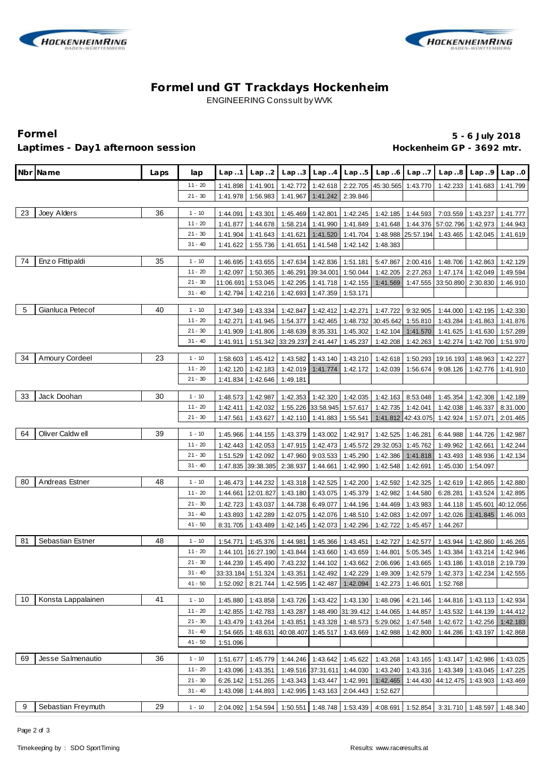



## **Formel und GT Trackdays Hockenheim** ENGINEERING Conssult by WVK

### Laptimes - Day1 afternoon session **Manual Acceleration and Hockenheim GP** - 3692 mtr.

# **Formel 5 - 6 July 2018**

|     | Nbr Name           | Laps | lap       | Lap.1                | Lap.2              | Lap.3     |                             | $Lap.4$ $Lap.5$    |                                      | $Lap.6$ $Lap.7$    | Lap.8                                                                                                       | Lap.9                | Lap.0                |
|-----|--------------------|------|-----------|----------------------|--------------------|-----------|-----------------------------|--------------------|--------------------------------------|--------------------|-------------------------------------------------------------------------------------------------------------|----------------------|----------------------|
|     |                    |      | 11 - 20   | 1:41.898             | 1:41.901           | 1:42.772  |                             |                    | 1:42.618 2:22.705 45:30.565 1:43.770 |                    | 1:42.233                                                                                                    | 1:41.683             | 1:41.799             |
|     |                    |      | $21 - 30$ | 1:41.978             | 1:56.983           | 1:41.967  | 1:41.242                    | 2:39.846           |                                      |                    |                                                                                                             |                      |                      |
|     |                    |      |           |                      |                    |           |                             |                    |                                      |                    |                                                                                                             |                      |                      |
| 23  | Joey Alders        | 36   | $1 - 10$  | 1:44.091             | 1:43.301           | 1:45.469  | 1:42.801                    | 1:42.245           |                                      | 1:42.185 1:44.593  |                                                                                                             | 7:03.559 1:43.237    | 1:41.777             |
|     |                    |      | $11 - 20$ | 1:41.877             | 1:44.678           | 1:58.214  | 1:41.990                    | 1:41.849           | 1:41.648                             | 1:44.376           | 57:02.796                                                                                                   | 1:42.973             | 1:44.943             |
|     |                    |      | $21 - 30$ | 1:41.904             | 1:41.643           | 1:41.621  | 1:41.520                    | 1:41.704           |                                      | 1:48.988 25:57.194 | 1:43.465                                                                                                    | 1:42.045             | 1:41.619             |
|     |                    |      | $31 - 40$ | 1:41.622             | 1:55.736           | 1:41.651  | 1:41.548                    | 1:42.142           | 1:48.383                             |                    |                                                                                                             |                      |                      |
| 74  | Enz o Fittip aldi  | 35   | $1 - 10$  | 1:46.695             | 1:43.655           | 1:47.634  | 1:42.836                    | 1:51.181           | 5:47.867                             | 2:00.416           | 1:48.706                                                                                                    | 1:42.863             | 1:42.129             |
|     |                    |      | $11 - 20$ | 1:42.097             | 1:50.365           | 1:46.291  | 39:34.001                   | 1:50.044           | 1:42.205                             | 2:27.263           | 1:47.174                                                                                                    | 1:42.049             | 1:49.594             |
|     |                    |      | $21 - 30$ | 11:06.691            | 1:53.045           | 1:42.295  | 1:41.718                    | 1:42.155           | 1:41.569                             |                    | 1:47.555 33:50.890                                                                                          | 2:30.830             | 1:46.910             |
|     |                    |      | $31 - 40$ | 1:42.794             | 1:42.216           | 1:42.693  | 1:47.359                    | 1:53.171           |                                      |                    |                                                                                                             |                      |                      |
|     |                    |      |           |                      |                    |           |                             |                    |                                      |                    |                                                                                                             |                      |                      |
| -5  | Gianluca Petecof   | 40   | $1 - 10$  | 1:47.349             | 1:43.334           | 1:42.847  | 1:42.412                    | 1:42.271           | 1:47.722                             | 9:32.905           | 1:44.000                                                                                                    | 1:42.195             | 1:42.330             |
|     |                    |      | $11 - 20$ | 1:42.271             | 1:41.945           | 1:54.377  | 1:42.465                    | 1:48.732           | 30:45.642                            | 1:55.810           | 1:43.284                                                                                                    | 1:41.863             | 1:41.876             |
|     |                    |      | $21 - 30$ | 1:41.909             | 1:41.806           | 1:48.639  | 8:35.331                    | 1:45.302           | 1:42.104                             | 1:41.570           | 1:41.625                                                                                                    | 1:41.630             | 1:57.289             |
|     |                    |      | $31 - 40$ | 1:41.911             | 1:51.342           | 33:29.237 | 2:41.447                    | 1:45.237           | 1:42.208                             | 1:42.263           | 1:42.274                                                                                                    | 1:42.700             | 1:51.970             |
| 34  | Amoury Cordeel     | 23   | $1 - 10$  |                      | 1:45.412           | 1:43.582  | 1:43.140                    | 1:43.210           | 1:42.618                             | 1:50.293           | 19:16.193                                                                                                   |                      |                      |
|     |                    |      | $11 - 20$ | 1:58.603<br>1:42.120 | 1:42.183           | 1:42.019  | 1:41.774                    | 1:42.172           | 1:42.039                             | 1:56.674           | 9:08.126                                                                                                    | 1:48.963<br>1:42.776 | 1:42.227<br>1:41.910 |
|     |                    |      | $21 - 30$ | 1:41.834             | 1:42.646           |           |                             |                    |                                      |                    |                                                                                                             |                      |                      |
|     |                    |      |           |                      |                    | 1:49.181  |                             |                    |                                      |                    |                                                                                                             |                      |                      |
| -33 | Jack Doohan        | 30   | $1 - 10$  | 1:48.573             | 1:42.987           | 1:42.353  | 1:42.320                    | 1:42.035           | 1:42.163                             | 8:53.048           | 1:45.354                                                                                                    | 1:42.308             | 1:42.189             |
|     |                    |      | 11 - 20   | 1:42.411             | 1:42.032           |           | 1:55.226 33:58.945          | 1:57.617           | 1:42.735                             | 1:42.041           | 1:42.038                                                                                                    | 1:46.337             | 8:31.000             |
|     |                    |      | $21 - 30$ | 1:47.561             | 1:43.627           | 1:42.110  | 1:41.883                    | 1:55.541           |                                      | 1:41.812 42:43.075 | 1:42.924                                                                                                    | 1:57.071             | 2:01.465             |
|     |                    |      |           |                      |                    |           |                             |                    |                                      |                    |                                                                                                             |                      |                      |
| 64  | Oliver Caldwell    | 39   | $1 - 10$  | 1:45.966             | 1:44.155           | 1:43.379  | 1:43.002                    | 1:42.917           | 1:42.525                             | 1:46.281           | 6:44.988                                                                                                    | 1:44.726             | 1:42.987             |
|     |                    |      | $11 - 20$ | 1:42.443             | 1:42.053           | 1:47.915  | 1:42.473                    | 1:45.572           | 29:32.053                            | 1:45.762           | 1:49.962                                                                                                    | 1:42.661             | 1:42.244             |
|     |                    |      | $21 - 30$ | 1:51.529             | 1:42.092           | 1:47.960  | 9:03.533                    | 1:45.290           | 1:42.386                             | 1:41.818           | 1:43.493                                                                                                    | 1:48.936             | 1:42.134             |
|     |                    |      | $31 - 40$ |                      | 1:47.835 39:38.385 | 2:38.937  | 1:44.661                    | 1:42.990           | 1:42.548                             | 1:42.691           | 1:45.030                                                                                                    | 1:54.097             |                      |
| 80  | Andreas Estner     | 48   | $1 - 10$  | 1:46.473             | 1:44.232           | 1:43.318  | 1:42.525                    | 1:42.200           | 1:42.592                             | 1:42.325           | 1:42.619                                                                                                    | 1:42.865             | 1:42.880             |
|     |                    |      | $11 - 20$ | 1:44.661             | 12:01.827          | 1:43.180  | 1:43.075                    | 1:45.379           | 1:42.982                             | 1:44.580           | 6:28.281                                                                                                    | 1:43.524             | 1:42.895             |
|     |                    |      | $21 - 30$ | 1:42.723             | 1:43.037           | 1:44.738  | 6:49.077                    | 1:44.196           | 1:44.469                             | 1:43.983           | 1:44.118                                                                                                    | 1:45.601             | 40:12.056            |
|     |                    |      | $31 - 40$ | 1:43.893             | 1:42.289           | 1:42.075  | 1:42.076                    | 1:48.510           | 1:42.083                             | 1:42.097           | 1:42.026                                                                                                    | 1:41.845             | 1:46.093             |
|     |                    |      | $41 - 50$ | 8:31.705             | 1:43.489           | 1:42.145  | 1:42.073                    | 1:42.296           | 1:42.722                             | 1:45.457           | 1:44.267                                                                                                    |                      |                      |
|     |                    |      |           |                      |                    |           |                             |                    |                                      |                    |                                                                                                             |                      |                      |
| -81 | Sebastian Estner   | 48   | $1 - 10$  | 1:54.771             | 1:45.376           | 1:44.981  | 1:45.366                    | 1:43.451           | 1:42.727                             | 1:42.577           | 1:43.944                                                                                                    | 1:42.860             | 1:46.265             |
|     |                    |      | $11 - 20$ | 1:44.101             | 16:27.190          | 1:43.844  | 1:43.660                    | 1:43.659           | 1:44.801                             | 5:05.345           | 1:43.384                                                                                                    | 1:43.214             | 1:42.946             |
|     |                    |      | $21 - 30$ | 1:44.239             | 1:45.490           | 7:43.232  | 1:44.102                    | 1:43.662           | 2:06.696                             | 1:43.665           | 1:43.186                                                                                                    | 1:43.018 2:19.739    |                      |
|     |                    |      | $31 - 40$ |                      |                    |           |                             |                    |                                      |                    | 33:33.184  1:51.324   1:43.351   1:42.492   1:42.229   1:49.309   1:42.579   1:42.373   1:42.234   1:42.555 |                      |                      |
|     |                    |      | $41 - 50$ | 1:52.092             | 8:21.744           |           | 1:42.595 1:42.487           | 1:42.094           |                                      | 1:42.273 1:46.601  | 1:52.768                                                                                                    |                      |                      |
| 10  | Konsta Lappalainen | 41   | $1 - 10$  | 1:45.880             | 1:43.858           |           | 1:43.726 1:43.422           | 1:43.130           | 1:48.096                             | 4:21.146           | 1:44.816                                                                                                    | 1:43.113             | 1:42.934             |
|     |                    |      | $11 - 20$ | 1:42.855             | 1:42.783           | 1:43.287  |                             | 1:48.490 31:39.412 | 1:44.065                             | 1:44.857           | 1:43.532                                                                                                    | 1:44.139             | 1:44.412             |
|     |                    |      | $21 - 30$ | 1:43.479             | 1:43.264           | 1:43.851  | 1:43.328                    | 1:48.573           | 5:29.062                             | 1:47.548           | 1:42.672                                                                                                    | 1:42.256             | 1:42.183             |
|     |                    |      | $31 - 40$ | 1:54.665             | 1:48.631           |           | 40:08.407 1:45.517 1:43.669 |                    | 1:42.988                             | 1:42.800           | 1:44.286 1:43.197                                                                                           |                      | 1:42.868             |
|     |                    |      | $41 - 50$ | 1:51.096             |                    |           |                             |                    |                                      |                    |                                                                                                             |                      |                      |
|     |                    |      |           |                      |                    |           |                             |                    |                                      |                    |                                                                                                             |                      |                      |
| 69  | Jesse Salmenautio  | 36   | $1 - 10$  | 1:51.677             | 1:45.779           |           | 1:44.246 1:43.642           | 1:45.622           | 1:43.268                             | 1:43.165           | 1:43.147                                                                                                    | 1:42.986             | 1:43.025             |
|     |                    |      | $11 - 20$ | 1:43.096             | 1:43.351           |           | 1:49.516 37:31.611 1:44.030 |                    | 1:43.240                             | 1:43.316           | 1:43.349 1:43.045                                                                                           |                      | 1:47.225             |
|     |                    |      | $21 - 30$ | 6:26.142             | 1:51.265           | 1:43.343  | 1:43.447                    | 1:42.991           | 1:42.465                             |                    | 1:44.430 44:12.475                                                                                          | 1:43.903             | 1:43.469             |
|     |                    |      | $31 - 40$ | 1:43.098             | 1:44.893           | 1:42.995  | 1:43.163                    | 2:04.443           | 1:52.627                             |                    |                                                                                                             |                      |                      |
| 9   | Sebastian Freymuth | 29   | $1 - 10$  | 2:04.092             | 1:54.594           | 1:50.551  |                             | 1:48.748 1:53.439  |                                      | 4:08.691 1:52.854  | 3:31.710 1:48.597                                                                                           |                      | 1:48.340             |
|     |                    |      |           |                      |                    |           |                             |                    |                                      |                    |                                                                                                             |                      |                      |